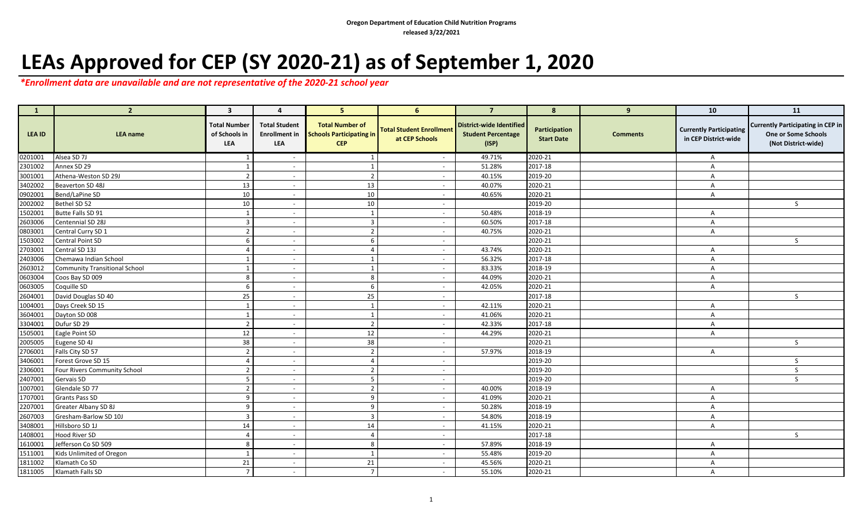## **LEAs Approved for CEP (SY 2020-21) as of September 1, 2020**

*\*Enrollment data are unavailable and are not representative of the 2020-21 school year*

| $\begin{array}{ c c c }\n\hline\n\text{ }} & \text{ 1} \\\hline\n\end{array}$ | $\overline{2}$                       | $\overline{\mathbf{3}}$              | 4                                                   | 5 <sup>1</sup>                                                          | 6                                                 | $\overline{7}$                                                        | 8                                  | 9               | 10                                                     | 11                                                                                     |
|-------------------------------------------------------------------------------|--------------------------------------|--------------------------------------|-----------------------------------------------------|-------------------------------------------------------------------------|---------------------------------------------------|-----------------------------------------------------------------------|------------------------------------|-----------------|--------------------------------------------------------|----------------------------------------------------------------------------------------|
| LEA ID                                                                        | <b>LEA</b> name                      | Total Number<br>of Schools in<br>LEA | <b>Total Student</b><br><b>Enrollment in</b><br>LEA | <b>Total Number of</b><br><b>Schools Participating in</b><br><b>CEP</b> | <b>Total Student Enrollment</b><br>at CEP Schools | <b>District-wide Identified</b><br><b>Student Percentage</b><br>(ISP) | Participation<br><b>Start Date</b> | <b>Comments</b> | <b>Currently Participating</b><br>in CEP District-wide | <b>Currently Participating in CEP in</b><br>One or Some Schools<br>(Not District-wide) |
| 0201001                                                                       | Alsea SD 7J                          | 1                                    | $\overline{\phantom{a}}$                            | 1                                                                       | $\sim$                                            | 49.71%                                                                | 2020-21                            |                 | $\mathsf{A}$                                           |                                                                                        |
| 2301002                                                                       | Annex SD 29                          | $\overline{1}$                       | $\overline{\phantom{a}}$                            | $\mathbf{1}$                                                            | $\sim$                                            | 51.28%                                                                | 2017-18                            |                 | A                                                      |                                                                                        |
| 3001001                                                                       | Athena-Weston SD 29J                 | $\overline{2}$                       | $\overline{\phantom{a}}$                            | $\overline{2}$                                                          | $\overline{\phantom{a}}$                          | 40.15%                                                                | 2019-20                            |                 | A                                                      |                                                                                        |
| 3402002                                                                       | Beaverton SD 48J                     | 13                                   | $\overline{\phantom{a}}$                            | 13                                                                      | $\sim$                                            | 40.07%                                                                | 2020-21                            |                 | $\mathsf{A}$                                           |                                                                                        |
| 0902001                                                                       | Bend/LaPine SD                       | 10                                   | $\overline{\phantom{a}}$                            | 10                                                                      | $\sim$                                            | 40.65%                                                                | 2020-21                            |                 | A                                                      |                                                                                        |
| 2002002                                                                       | Bethel SD 52                         | 10                                   | $\overline{\phantom{a}}$                            | 10                                                                      | $\overline{\phantom{a}}$                          |                                                                       | 2019-20                            |                 |                                                        | S.                                                                                     |
| 1502001                                                                       | Butte Falls SD 91                    | $\overline{1}$                       | $\overline{\phantom{a}}$                            | $\mathbf{1}$                                                            | $\overline{\phantom{a}}$                          | 50.48%                                                                | 2018-19                            |                 | A                                                      |                                                                                        |
| 2603006                                                                       | Centennial SD 28J                    | 3                                    | $\overline{\phantom{a}}$                            | $\overline{3}$                                                          | $\sim$                                            | 60.50%                                                                | 2017-18                            |                 | A                                                      |                                                                                        |
| 0803001                                                                       | Central Curry SD 1                   | $\overline{2}$                       | $\overline{\phantom{a}}$                            | $\overline{2}$                                                          | $\overline{\phantom{a}}$                          | 40.75%                                                                | 2020-21                            |                 | A                                                      |                                                                                        |
| 1503002                                                                       | <b>Central Point SD</b>              | 6                                    | $\overline{\phantom{a}}$                            | 6                                                                       | $\overline{\phantom{a}}$                          |                                                                       | 2020-21                            |                 |                                                        | S                                                                                      |
| 2703001                                                                       | Central SD 13J                       | $\overline{4}$                       | $\overline{\phantom{a}}$                            | $\overline{4}$                                                          | $\sim$                                            | 43.74%                                                                | 2020-21                            |                 | $\mathsf{A}$                                           |                                                                                        |
| 2403006                                                                       | Chemawa Indian School                | $\mathbf{1}$                         | $\overline{\phantom{a}}$                            | $\mathbf{1}$                                                            | $\overline{\phantom{a}}$                          | 56.32%                                                                | 2017-18                            |                 | $\mathsf{A}$                                           |                                                                                        |
| 2603012                                                                       | <b>Community Transitional School</b> | -1                                   | $\overline{\phantom{a}}$                            | $\mathbf{1}$                                                            | $\overline{\phantom{a}}$                          | 83.33%                                                                | 2018-19                            |                 | A                                                      |                                                                                        |
| 0603004                                                                       | Coos Bay SD 009                      | 8                                    | $\overline{\phantom{a}}$                            | 8                                                                       | $\overline{\phantom{a}}$                          | 44.09%                                                                | 2020-21                            |                 | $\mathsf{A}$                                           |                                                                                        |
| 0603005                                                                       | Coquille SD                          | 6                                    | $\overline{\phantom{a}}$                            | 6                                                                       | $\sim$                                            | 42.05%                                                                | 2020-21                            |                 | A                                                      |                                                                                        |
| 2604001                                                                       | David Douglas SD 40                  | 25                                   | $\overline{\phantom{a}}$                            | 25                                                                      | $\sim$                                            |                                                                       | 2017-18                            |                 |                                                        | $\mathsf{S}$                                                                           |
| 1004001                                                                       | Days Creek SD 15                     | $\overline{1}$                       | $\overline{\phantom{a}}$                            | $\mathbf{1}$                                                            | $\overline{\phantom{a}}$                          | 42.11%                                                                | 2020-21                            |                 | $\mathsf{A}$                                           |                                                                                        |
| 3604001                                                                       | Dayton SD 008                        | $\overline{1}$                       | $\sim$                                              | $\mathbf{1}$                                                            | $\sim$                                            | 41.06%                                                                | 2020-21                            |                 | A                                                      |                                                                                        |
| 3304001                                                                       | Dufur SD 29                          | $\overline{2}$                       | $\overline{\phantom{a}}$                            | $\overline{2}$                                                          | $\overline{\phantom{a}}$                          | 42.33%                                                                | 2017-18                            |                 | $\mathsf{A}$                                           |                                                                                        |
| 1505001                                                                       | Eagle Point SD                       | 12                                   | $\overline{\phantom{a}}$                            | 12                                                                      |                                                   | 44.29%                                                                | 2020-21                            |                 | $\overline{A}$                                         |                                                                                        |
| 2005005                                                                       | Eugene SD 4J                         | 38                                   | $\sim$                                              | 38                                                                      | $\sim$                                            |                                                                       | 2020-21                            |                 |                                                        | $\mathsf{S}$                                                                           |
| 2706001                                                                       | Falls City SD 57                     | $\overline{2}$                       | $\overline{\phantom{a}}$                            | $\overline{2}$                                                          | $\sim$                                            | 57.97%                                                                | 2018-19                            |                 | A                                                      |                                                                                        |
| 3406001                                                                       | Forest Grove SD 15                   | $\overline{4}$                       | $\overline{\phantom{a}}$                            | $\overline{4}$                                                          | $\overline{\phantom{a}}$                          |                                                                       | 2019-20                            |                 |                                                        | $\mathsf{S}$                                                                           |
| 2306001                                                                       | Four Rivers Community School         | $\overline{z}$                       | $\overline{\phantom{a}}$                            | $\overline{2}$                                                          | $\overline{\phantom{a}}$                          |                                                                       | 2019-20                            |                 |                                                        | <sub>S</sub>                                                                           |
| 2407001                                                                       | Gervais SD                           | .5                                   | $\overline{\phantom{a}}$                            | 5                                                                       | $\overline{\phantom{a}}$                          |                                                                       | 2019-20                            |                 |                                                        | S                                                                                      |
| 1007001                                                                       | Glendale SD 77                       | $\overline{2}$                       | $\overline{\phantom{a}}$                            | $\overline{2}$                                                          | $\overline{\phantom{a}}$                          | 40.00%                                                                | 2018-19                            |                 | $\mathsf{A}$                                           |                                                                                        |
| 1707001                                                                       | <b>Grants Pass SD</b>                | q                                    | $\overline{\phantom{a}}$                            | 9                                                                       | $\overline{\phantom{a}}$                          | 41.09%                                                                | 2020-21                            |                 | A                                                      |                                                                                        |
| 2207001                                                                       | Greater Albany SD 8J                 | 9                                    | $\sim$                                              | 9                                                                       | $\sim$                                            | 50.28%                                                                | 2018-19                            |                 | A                                                      |                                                                                        |
| 2607003                                                                       | Gresham-Barlow SD 10J                | $\overline{3}$                       | $\sim$                                              | $\overline{3}$                                                          | $\sim$                                            | 54.80%                                                                | 2018-19                            |                 | $\mathsf{A}$                                           |                                                                                        |
| 3408001                                                                       | Hillsboro SD 1J                      | 14                                   | $\overline{\phantom{a}}$                            | 14                                                                      | $\overline{\phantom{a}}$                          | 41.15%                                                                | 2020-21                            |                 | $\overline{A}$                                         |                                                                                        |
| 1408001                                                                       | Hood River SD                        | $\overline{4}$                       | $\overline{\phantom{a}}$                            | $\overline{4}$                                                          | $\sim$                                            |                                                                       | 2017-18                            |                 |                                                        | S.                                                                                     |
| 1610001                                                                       | Jefferson Co SD 509                  | 8                                    | $\overline{\phantom{a}}$                            | 8                                                                       | $\overline{\phantom{a}}$                          | 57.89%                                                                | 2018-19                            |                 | A                                                      |                                                                                        |
| 1511001                                                                       | Kids Unlimited of Oregon             | $\overline{1}$                       | $\overline{\phantom{a}}$                            | $\mathbf{1}$                                                            | $\overline{\phantom{a}}$                          | 55.48%                                                                | 2019-20                            |                 | A                                                      |                                                                                        |
| 1811002                                                                       | Klamath Co SD                        | 21                                   | $\overline{\phantom{a}}$                            | 21                                                                      | $\overline{\phantom{a}}$                          | 45.56%                                                                | 2020-21                            |                 | A                                                      |                                                                                        |
| 1811005                                                                       | Klamath Falls SD                     | $\overline{7}$                       | $\sim$                                              | $\overline{7}$                                                          | $\overline{\phantom{a}}$                          | 55.10%                                                                | 2020-21                            |                 | A                                                      |                                                                                        |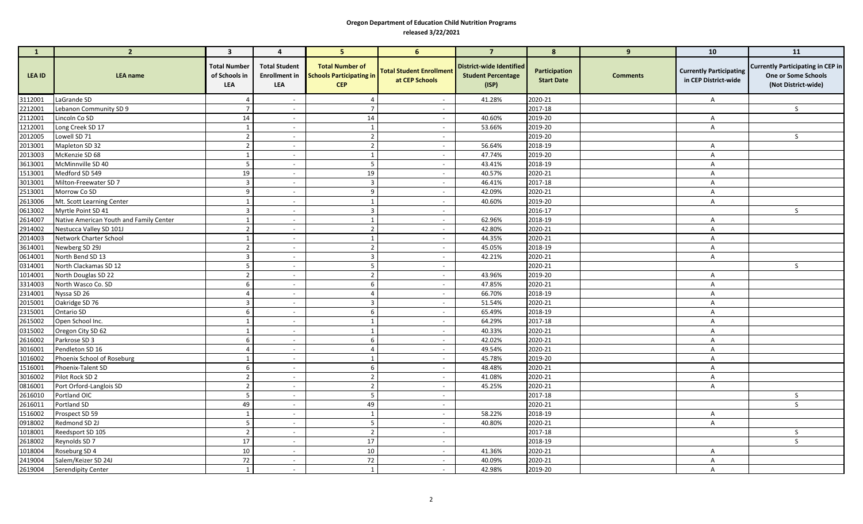## **Oregon Department of Education Child Nutrition Programs released 3/22/2021**

| $\mathbf{1}$ | $\overline{2}$                          | $\overline{\mathbf{3}}$                            | $\overline{4}$                                      | 5 <sup>1</sup>                                                          | 6                                                 | $\overline{7}$                                                        | 8                                  | 9               | 10                                                     | 11                                                                                     |
|--------------|-----------------------------------------|----------------------------------------------------|-----------------------------------------------------|-------------------------------------------------------------------------|---------------------------------------------------|-----------------------------------------------------------------------|------------------------------------|-----------------|--------------------------------------------------------|----------------------------------------------------------------------------------------|
| LEA ID       | <b>LEA</b> name                         | <b>Total Number</b><br>of Schools in<br><b>LEA</b> | <b>Total Student</b><br><b>Enrollment</b> in<br>LEA | <b>Total Number of</b><br><b>Schools Participating in</b><br><b>CEP</b> | <b>Total Student Enrollment</b><br>at CEP Schools | <b>District-wide Identified</b><br><b>Student Percentage</b><br>(ISP) | Participation<br><b>Start Date</b> | <b>Comments</b> | <b>Currently Participating</b><br>in CEP District-wide | <b>Currently Participating in CEP in</b><br>One or Some Schools<br>(Not District-wide) |
| 3112001      | LaGrande SD                             | $\overline{4}$                                     | $\overline{\phantom{a}}$                            | 4                                                                       | $\sim$                                            | 41.28%                                                                | 2020-21                            |                 | $\mathsf{A}$                                           |                                                                                        |
| 2212001      | Lebanon Community SD 9                  | $\overline{7}$                                     |                                                     | $\overline{7}$                                                          | $\blacksquare$                                    |                                                                       | 2017-18                            |                 |                                                        | $\mathsf{S}$                                                                           |
| 2112001      | Lincoln Co SD                           | 14                                                 | $\sim$                                              | 14                                                                      | $\sim$                                            | 40.60%                                                                | 2019-20                            |                 | $\mathsf{A}$                                           |                                                                                        |
| 1212001      | Long Creek SD 17                        | 1                                                  | $\sim$                                              | 1                                                                       | $\sim$                                            | 53.66%                                                                | 2019-20                            |                 | $\mathsf{A}$                                           |                                                                                        |
| 2012005      | Lowell SD 71                            | $\overline{2}$                                     | $\sim$                                              | $\overline{2}$                                                          | $\sim$                                            |                                                                       | 2019-20                            |                 |                                                        | $\mathsf{S}$                                                                           |
| 2013001      | Mapleton SD 32                          | $\overline{2}$                                     | $\sim$                                              | $\overline{2}$                                                          | $\overline{\phantom{a}}$                          | 56.64%                                                                | 2018-19                            |                 | $\mathsf{A}$                                           |                                                                                        |
| 2013003      | McKenzie SD 68                          | $\mathbf{1}$                                       |                                                     | $\mathbf{1}$                                                            | $\overline{\phantom{a}}$                          | 47.74%                                                                | 2019-20                            |                 | $\mathsf{A}$                                           |                                                                                        |
| 3613001      | McMinnville SD 40                       | 5                                                  | $\overline{\phantom{a}}$                            | 5                                                                       | $\sim$                                            | 43.41%                                                                | 2018-19                            |                 | $\mathsf{A}$                                           |                                                                                        |
| 1513001      | Medford SD 549                          | 19                                                 | $\sim$                                              | 19                                                                      | $\sim$                                            | 40.57%                                                                | 2020-21                            |                 | A                                                      |                                                                                        |
| 3013001      | Milton-Freewater SD 7                   | $\overline{\mathbf{3}}$                            | $\overline{\phantom{a}}$                            | $\overline{3}$                                                          | $\sim$                                            | 46.41%                                                                | 2017-18                            |                 | $\mathsf{A}$                                           |                                                                                        |
| 2513001      | Morrow Co SD                            | 9                                                  | $\overline{\phantom{a}}$                            | 9                                                                       | $\overline{\phantom{a}}$                          | 42.09%                                                                | 2020-21                            |                 | $\mathsf{A}$                                           |                                                                                        |
| 2613006      | Mt. Scott Learning Center               | $\overline{1}$                                     | $\overline{\phantom{a}}$                            | $\mathbf{1}$                                                            | $\overline{\phantom{a}}$                          | 40.60%                                                                | 2019-20                            |                 | $\overline{A}$                                         |                                                                                        |
| 0613002      | Myrtle Point SD 41                      | $\overline{\mathbf{3}}$                            | $\sim$                                              | $\overline{3}$                                                          | $\sim$                                            |                                                                       | 2016-17                            |                 |                                                        | S.                                                                                     |
| 2614007      | Native American Youth and Family Center | $\mathbf{1}$                                       | $\overline{\phantom{a}}$                            | $\mathbf{1}$                                                            | $\sim$                                            | 62.96%                                                                | 2018-19                            |                 | $\mathsf{A}$                                           |                                                                                        |
| 2914002      | Nestucca Valley SD 101J                 | $\overline{2}$                                     | $\overline{\phantom{a}}$                            | $\overline{2}$                                                          | $\sim$                                            | 42.80%                                                                | 2020-21                            |                 | $\mathsf{A}$                                           |                                                                                        |
| 2014003      | Network Charter School                  | $\overline{1}$                                     | $\overline{\phantom{a}}$                            | $\mathbf{1}$                                                            | $\overline{\phantom{a}}$                          | 44.35%                                                                | 2020-21                            |                 | $\overline{A}$                                         |                                                                                        |
| 3614001      | Newberg SD 29J                          | $\overline{2}$                                     | $\overline{\phantom{a}}$                            | $\overline{2}$                                                          | $\overline{\phantom{a}}$                          | 45.05%                                                                | 2018-19                            |                 | $\mathsf{A}$                                           |                                                                                        |
| 0614001      | North Bend SD 13                        | $\overline{3}$                                     | $\sim$                                              | $\overline{3}$                                                          | $\sim$                                            | 42.21%                                                                | 2020-21                            |                 | $\overline{A}$                                         |                                                                                        |
| 0314001      | North Clackamas SD 12                   | 5                                                  | $\overline{\phantom{a}}$                            | 5 <sub>5</sub>                                                          | $\sim$                                            |                                                                       | 2020-21                            |                 |                                                        | S                                                                                      |
| 1014001      | North Douglas SD 22                     | $\overline{2}$                                     |                                                     | $\overline{2}$                                                          | $\overline{\phantom{a}}$                          | 43.96%                                                                | 2019-20                            |                 | $\overline{A}$                                         |                                                                                        |
| 3314003      | North Wasco Co. SD                      | 6                                                  | $\overline{\phantom{a}}$                            | 6                                                                       | $\sim$                                            | 47.85%                                                                | 2020-21                            |                 | $\overline{A}$                                         |                                                                                        |
| 2314001      | Nyssa SD 26                             | $\overline{4}$                                     | $\sim$                                              | $\overline{4}$                                                          | $\sim$                                            | 66.70%                                                                | 2018-19                            |                 | $\mathsf{A}$                                           |                                                                                        |
| 2015001      | Oakridge SD 76                          | $\overline{\mathbf{3}}$                            | $\overline{\phantom{a}}$                            | $\overline{3}$                                                          | $\sim$                                            | 51.54%                                                                | 2020-21                            |                 | $\mathsf{A}$                                           |                                                                                        |
| 2315001      | Ontario SD                              | 6                                                  | $\sim$                                              | 6                                                                       | $\sim$                                            | 65.49%                                                                | 2018-19                            |                 | $\mathsf{A}$                                           |                                                                                        |
| 2615002      | Open School Inc.                        | $\overline{1}$                                     | $\overline{\phantom{a}}$                            | $\mathbf{1}$                                                            | $\blacksquare$                                    | 64.29%                                                                | 2017-18                            |                 | A                                                      |                                                                                        |
| 0315002      | Oregon City SD 62                       | $\mathbf{1}$                                       | $\sim$                                              | $\mathbf{1}$                                                            | $\sim$                                            | 40.33%                                                                | 2020-21                            |                 | $\mathsf{A}$                                           |                                                                                        |
| 2616002      | Parkrose SD 3                           | 6                                                  | $\overline{\phantom{a}}$                            | 6                                                                       | $\overline{\phantom{a}}$                          | 42.02%                                                                | 2020-21                            |                 | A                                                      |                                                                                        |
| 3016001      | Pendleton SD 16                         | $\overline{4}$                                     | $\sim$                                              | $\overline{a}$                                                          | $\sim$                                            | 49.54%                                                                | 2020-21                            |                 | $\mathsf{A}$                                           |                                                                                        |
| 1016002      | Phoenix School of Roseburg              | $\overline{1}$                                     | $\overline{\phantom{a}}$                            | $\mathbf{1}$                                                            | $\sim$                                            | 45.78%                                                                | 2019-20                            |                 | $\mathsf{A}$                                           |                                                                                        |
| 1516001      | Phoenix-Talent SD                       | 6                                                  | $\overline{\phantom{a}}$                            | 6                                                                       | $\overline{\phantom{a}}$                          | 48.48%                                                                | 2020-21                            |                 | A                                                      |                                                                                        |
| 3016002      | Pilot Rock SD 2                         | $\overline{2}$                                     | $\sim$                                              | $\overline{2}$                                                          | $\sim$                                            | 41.08%                                                                | 2020-21                            |                 | $\mathsf{A}$                                           |                                                                                        |
| 0816001      | Port Orford-Langlois SD                 | $\overline{2}$                                     | $\sim$                                              | $\overline{2}$                                                          | $\sim$                                            | 45.25%                                                                | 2020-21                            |                 | $\mathsf{A}$                                           |                                                                                        |
| 2616010      | Portland OIC                            | 5                                                  | $\sim$                                              | $5\phantom{.0}$                                                         | $\sim$                                            |                                                                       | 2017-18                            |                 |                                                        | S                                                                                      |
| 2616011      | Portland SD                             | 49                                                 | $\overline{\phantom{a}}$                            | 49                                                                      | $\overline{\phantom{a}}$                          |                                                                       | 2020-21                            |                 |                                                        | S.                                                                                     |
| 1516002      | Prospect SD 59                          | 1                                                  | $\overline{\phantom{a}}$                            | 1                                                                       | $\overline{\phantom{a}}$                          | 58.22%                                                                | 2018-19                            |                 | $\mathsf{A}$                                           |                                                                                        |
| 0918002      | Redmond SD 2J                           | 5                                                  | $\sim$                                              | 5                                                                       | $\sim$                                            | 40.80%                                                                | 2020-21                            |                 | $\overline{A}$                                         |                                                                                        |
| 1018001      | Reedsport SD 105                        | $\overline{2}$                                     | $\overline{\phantom{a}}$                            | $\overline{2}$                                                          | $\overline{\phantom{a}}$                          |                                                                       | 2017-18                            |                 |                                                        | S                                                                                      |
| 2618002      | Reynolds SD 7                           | 17                                                 | $\sim$                                              | 17                                                                      | $\blacksquare$                                    |                                                                       | 2018-19                            |                 |                                                        | S                                                                                      |
| 1018004      | Roseburg SD 4                           | 10                                                 | $\sim$                                              | 10                                                                      | $\overline{\phantom{a}}$                          | 41.36%                                                                | 2020-21                            |                 | $\mathsf{A}$                                           |                                                                                        |
| 2419004      | Salem/Keizer SD 24J                     | 72                                                 | $\sim$                                              | 72                                                                      | $\overline{\phantom{a}}$                          | 40.09%                                                                | 2020-21                            |                 | $\mathsf{A}$                                           |                                                                                        |
| 2619004      | <b>Serendipity Center</b>               | $\mathbf{1}$                                       | $\overline{\phantom{a}}$                            | $\mathbf{1}$                                                            | $\sim$                                            | 42.98%                                                                | 2019-20                            |                 | $\mathsf{A}$                                           |                                                                                        |